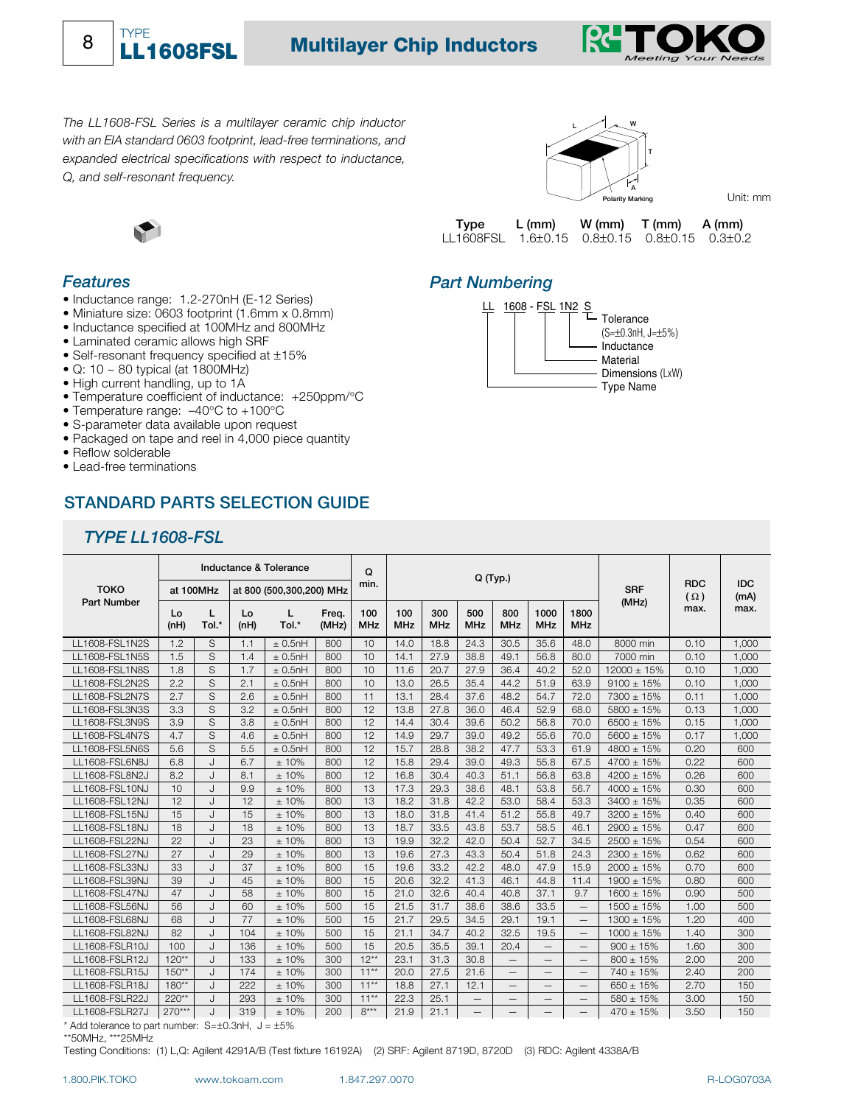

# **TYPE**<br>**THE AGAGEST Multilayer Chip Inductors**



*The LL1608-FSL Series is a multilayer ceramic chip inductor with an EIA standard 0603 footprint, lead-free terminations, and expanded electrical specifications with respect to inductance, Q, and self-resonant frequency.*



#### *Features*

8

- Inductance range: 1.2-270nH (E-12 Series)
- Miniature size: 0603 footprint (1.6mm x 0.8mm)
- Inductance specified at 100MHz and 800MHz
- Laminated ceramic allows high SRF
- Self-resonant frequency specified at ±15%
- $\bullet$  Q: 10 ~ 80 typical (at 1800MHz)
- High current handling, up to 1A
- Temperature coefficient of inductance: +250ppm/°C
- Temperature range: –40°C to +100°C
- S-parameter data available upon request
- Packaged on tape and reel in 4,000 piece quantity
- Reflow solderable
- Lead-free terminations

## **STANDARD PARTS SELECTION GUIDE**

## *TYPE LL1608-FSL*



Unit: mm

| Type      | L (mm)                                                     | $W(mm)$ $T(mm)$ $A(mm)$ |  |
|-----------|------------------------------------------------------------|-------------------------|--|
| LL1608FSL | $1.6 \pm 0.15$ 0.8 $\pm$ 0.15 0.8 $\pm$ 0.15 0.3 $\pm$ 0.2 |                         |  |

### *Part Numbering*



| <b>TOKO</b><br><b>Part Number</b>         | Inductance & Tolerance |                                       |                  |                      | Q<br>min.      | Q (Typ.)          |                   |                   |                   |                   | <b>RDC</b>         | <b>IDC</b>               |                  |      |       |
|-------------------------------------------|------------------------|---------------------------------------|------------------|----------------------|----------------|-------------------|-------------------|-------------------|-------------------|-------------------|--------------------|--------------------------|------------------|------|-------|
|                                           |                        | at 100MHz<br>at 800 (500,300,200) MHz |                  |                      |                |                   |                   |                   |                   |                   |                    | <b>SRF</b>               | $(\Omega)$       | (mA) |       |
|                                           | Lo<br>(nH)             | L<br>Tol.*                            | Lo<br>(nH)       | L<br>Tol.*           | Freq.<br>(MHz) | 100<br><b>MHz</b> | 100<br><b>MHz</b> | 300<br><b>MHz</b> | 500<br><b>MHz</b> | 800<br><b>MHz</b> | 1000<br><b>MHz</b> | 1800<br><b>MHz</b>       | (MHz)            | max. | max.  |
| LL1608-FSL1N2S                            | 1.2                    | S                                     | 1.1              | $+0.5nH$             | 800            | 10                | 14.0              | 18.8              | 24.3              | 30.5              | 35.6               | 48.0                     | 8000 min         | 0.10 | 1.000 |
| LL1608-FSL1N5S                            | 1.5                    | S                                     | 1.4              | $\pm$ 0.5nH          | 800            | 10                | 14.1              | 27.9              | 38.8              | 49.1              | 56.8               | 80.0                     | 7000 min         | 0.10 | 1.000 |
| LL1608-FSL1N8S                            | 1.8                    | S                                     | 1.7              | $\pm$ 0.5nH          | 800            | 10                | 11.6              | 20.7              | 27.9              | 36.4              | 40.2               | 52.0                     | $12000 \pm 15\%$ | 0.10 | 1.000 |
| LL1608-FSL2N2S                            | 2.2                    | S                                     | 2.1              | $\pm$ 0.5nH          | 800            | 10                | 13.0              | 26.5              | 35.4              | 44.2              | 51.9               | 63.9                     | $9100 \pm 15\%$  | 0.10 | 1,000 |
| LL1608-FSL2N7S                            | 2.7                    | S                                     | 2.6              | $\pm$ 0.5nH          | 800            | 11                | 13.1              | 28.4              | 37.6              | 48.2              | 54.7               | 72.0                     | 7300 ± 15%       | 0.11 | 1,000 |
| LL1608-FSL3N3S                            | 3.3                    | S                                     | 3.2              | $\pm$ 0.5nH          | 800            | 12                | 13.8              | 27.8              | 36.0              | 46.4              | 52.9               | 68.0                     | $5800 \pm 15\%$  | 0.13 | 1,000 |
| LL1608-FSL3N9S                            | 3.9                    | S                                     | 3.8              | $\pm$ 0.5nH          | 800            | 12                | 14.4              | 30.4              | 39.6              | 50.2              | 56.8               | 70.0                     | $6500 \pm 15\%$  | 0.15 | 1.000 |
| LL1608-FSL4N7S                            | 4.7                    | S                                     | 4.6              | $\pm$ 0.5nH          | 800            | 12                | 14.9              | 29.7              | 39.0              | 49.2              | 55.6               | 70.0                     | $5600 \pm 15\%$  | 0.17 | 1,000 |
| LL1608-FSL5N6S                            | 5.6                    | S                                     | 5.5              | $\pm$ 0.5nH          | 800            | 12                | 15.7              | 28.8              | 38.2              | 47.7              | 53.3               | 61.9                     | $4800 \pm 15\%$  | 0.20 | 600   |
| LL1608-FSL6N8J                            | 6.8                    | $\mathsf{L}$                          | 6.7              | ±10%                 | 800            | 12                | 15.8              | 29.4              | 39.0              | 49.3              | 55.8               | 67.5                     | 4700 ± 15%       | 0.22 | 600   |
| LL1608-FSL8N2J                            | 8.2                    | J                                     | 8.1              | ±10%                 | 800            | 12                | 16.8              | 30.4              | 40.3              | 51.1              | 56.8               | 63.8                     | $4200 \pm 15\%$  | 0.26 | 600   |
| LL1608-FSL10NJ                            | 10                     | $\mathsf{L}$                          | 9.9              | ±10%                 | 800            | 13                | 17.3              | 29.3              | 38.6              | 48.1              | 53.8               | 56.7                     | $4000 \pm 15\%$  | 0.30 | 600   |
| LL1608-FSL12NJ                            | 12                     | J.                                    | 12               | ±10%                 | 800            | 13                | 18.2              | 31.8              | 42.2              | 53.0              | 58.4               | 53.3                     | $3400 \pm 15\%$  | 0.35 | 600   |
| LL1608-FSL15NJ                            | 15                     | $\mathsf{L}$                          | 15               | ±10%                 | 800            | 13                | 18.0              | 31.8              | 41.4              | 51.2              | 55.8               | 49.7                     | $3200 \pm 15\%$  | 0.40 | 600   |
| LL1608-FSL18NJ                            | 18                     | J                                     | 18               | ±10%                 | 800            | 13                | 18.7              | 33.5              | 43.8              | 53.7              | 58.5               | 46.1                     | $2900 \pm 15\%$  | 0.47 | 600   |
| LL1608-FSL22NJ                            | 22                     | $\mathsf{L}$                          | 23               | ±10%                 | 800            | 13                | 19.9              | 32.2              | 42.0              | 50.4              | 52.7               | 34.5                     | $2500 \pm 15\%$  | 0.54 | 600   |
| LL1608-FSL27NJ                            | 27                     | $\mathsf{L}$                          | 29               | ±10%                 | 800            | 13                | 19.6              | 27.3              | 43.3              | 50.4              | 51.8               | 24.3                     | $2300 \pm 15\%$  | 0.62 | 600   |
| LL1608-FSL33NJ                            | 33                     |                                       | 37               | $±10\%$              | 800            | 15                | 19.6              | 33.2              | 42.2              | 48.0              | 47.9               | 15.9                     | $2000 \pm 15\%$  | 0.70 | 600   |
| LL1608-FSL39NJ                            | 39                     | J                                     | 45               | ±10%                 | 800            | 15                | 20.6              | 32.2              | 41.3              | 46.1              | 44.8               | 11.4                     | 1900 ± 15%       | 0.80 | 600   |
| LL1608-FSL47NJ                            | 47                     | J.                                    | 58               | ±10%                 | 800            | 15                | 21.0              | 32.6              | 40.4              | 40.8              | 37.1               | 9.7                      | $1600 \pm 15%$   | 0.90 | 500   |
| LL1608-FSL56NJ                            | 56                     | $\mathsf{L}$                          | 60               | ±10%                 | 500            | 15                | 21.5              | 31.7              | 38.6              | 38.6              | 33.5               | $\qquad \qquad -$        | $1500 \pm 15\%$  | 1.00 | 500   |
| LL1608-FSL68NJ                            | 68                     | $\mathsf{L}$                          | 77               | ±10%                 | 500            | 15                | 21.7              | 29.5              | 34.5              | 29.1              | 19.1               | $\overline{\phantom{0}}$ | $1300 \pm 15\%$  | 1.20 | 400   |
| LL1608-FSL82NJ                            | 82                     | $\mathsf{L}$                          | 104              | ±10%                 | 500            | 15                | 21.1              | 34.7              | 40.2              | 32.5              | 19.5               | $\overline{\phantom{0}}$ | $1000 \pm 15%$   | 1.40 | 300   |
| LL1608-FSLR10J                            | 100                    | $\mathsf{L}$                          | 136              | ±10%                 | 500            | 15                | 20.5              | 35.5              | 39.1              | 20.4              | $\qquad \qquad -$  |                          | $900 \pm 15\%$   | 1.60 | 300   |
| LL1608-FSLR12J                            | $120**$                | $\mathsf{L}$                          | 133              | ±10%                 | 300            | $12**$            | 23.1              | 31.3              | 30.8              |                   | $\qquad \qquad -$  | $\qquad \qquad -$        | $800 \pm 15\%$   | 2.00 | 200   |
| LL1608-FSLR15J                            | $150**$                | $\mathsf{L}$                          | 174              | ±10%                 | 300            | $11**$            | 20.0              | 27.5              | 21.6              | $\qquad \qquad -$ |                    | $\qquad \qquad -$        | $740 \pm 15\%$   | 2.40 | 200   |
| LL1608-FSLR18J                            | $180**$                | $\mathsf{L}$                          | 222              | ±10%                 | 300            | $11***$           | 18.8              | 27.1              | 12.1              |                   |                    | $\overline{\phantom{0}}$ | $650 \pm 15\%$   | 2.70 | 150   |
| LL1608-FSLR22J                            | $220**$                | $\mathsf{L}$                          | 293              | ±10%                 | 300            | $11**$            | 22.3              | 25.1              | $\qquad \qquad -$ | $\qquad \qquad -$ | $\qquad \qquad -$  | $\overline{\phantom{m}}$ | $580 \pm 15\%$   | 3.00 | 150   |
| LL1608-FSLR27J<br>$\bullet$ A statistical | $270***$               | J                                     | 319<br>0.1001111 | ±10%<br>$F^{\prime}$ | 200            | $8***$            | 21.9              | 21.1              | $\qquad \qquad -$ | $\qquad \qquad -$ |                    | $\overline{\phantom{0}}$ | $470 \pm 15%$    | 3.50 | 150   |

Add tolerance to part number:  $S = \pm 0.3$ nH,  $J = \pm 5\%$ \*\*50MHz, \*\*\*25MHz

Testing Conditions: (1) L,Q: Agilent 4291A/B (Test fixture 16192A) (2) SRF: Agilent 8719D, 8720D (3) RDC: Agilent 4338A/B